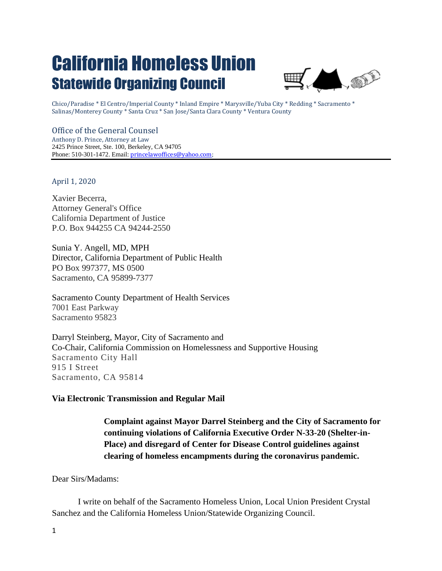## California Homeless Union Statewide Organizing Council



Chico/Paradise \* El Centro/Imperial County \* Inland Empire \* Marysville/Yuba City \* Redding \* Sacramento \* Salinas/Monterey County \* Santa Cruz \* San Jose/Santa Clara County \* Ventura County

## Office of the General Counsel

Anthony D. Prince, Attorney at Law 2425 Prince Street, Ste. 100, Berkeley, CA 94705 Phone: 510-301-1472. Email: *princelawoffices@yahoo.com*;

April 1, 2020

Xavier Becerra, Attorney General's Office California Department of Justice P.O. Box 944255 CA 94244-2550

Sunia Y. Angell, MD, MPH Director, California Department of Public Health PO Box 997377, MS 0500 Sacramento, CA 95899-7377

Sacramento County Department of Health Services 7001 East Parkway Sacramento 95823

Darryl Steinberg, Mayor, City of Sacramento and Co-Chair, California Commission on Homelessness and Supportive Housing Sacramento City Hall 915 I Street Sacramento, CA 95814

## **Via Electronic Transmission and Regular Mail**

**Complaint against Mayor Darrel Steinberg and the City of Sacramento for continuing violations of California Executive Order N-33-20 (Shelter-in-Place) and disregard of Center for Disease Control guidelines against clearing of homeless encampments during the coronavirus pandemic.**

Dear Sirs/Madams:

I write on behalf of the Sacramento Homeless Union, Local Union President Crystal Sanchez and the California Homeless Union/Statewide Organizing Council.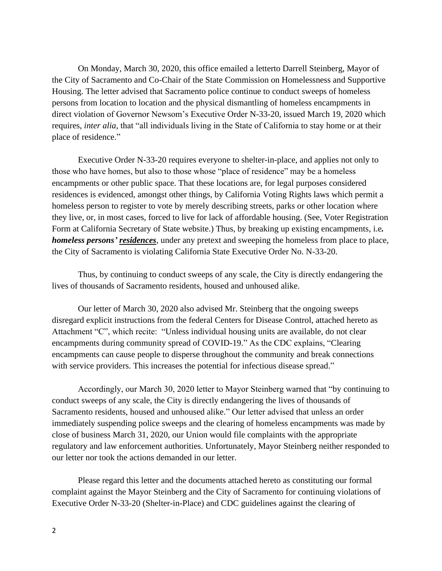On Monday, March 30, 2020, this office emailed a letterto Darrell Steinberg, Mayor of the City of Sacramento and Co-Chair of the State Commission on Homelessness and Supportive Housing. The letter advised that Sacramento police continue to conduct sweeps of homeless persons from location to location and the physical dismantling of homeless encampments in direct violation of Governor Newsom's Executive Order N-33-20, issued March 19, 2020 which requires, *inter alia*, that "all individuals living in the State of California to stay home or at their place of residence."

Executive Order N-33-20 requires everyone to shelter-in-place, and applies not only to those who have homes, but also to those whose "place of residence" may be a homeless encampments or other public space. That these locations are, for legal purposes considered residences is evidenced, amongst other things, by California Voting Rights laws which permit a homeless person to register to vote by merely describing streets, parks or other location where they live, or, in most cases, forced to live for lack of affordable housing. (See, Voter Registration Form at California Secretary of State website.) Thus, by breaking up existing encampments, i.e*. homeless persons' residences*, under any pretext and sweeping the homeless from place to place, the City of Sacramento is violating California State Executive Order No. N-33-20.

Thus, by continuing to conduct sweeps of any scale, the City is directly endangering the lives of thousands of Sacramento residents, housed and unhoused alike.

Our letter of March 30, 2020 also advised Mr. Steinberg that the ongoing sweeps disregard explicit instructions from the federal Centers for Disease Control, attached hereto as Attachment "C", which recite: "Unless individual housing units are available, do not clear encampments during community spread of COVID-19." As the CDC explains, "Clearing encampments can cause people to disperse throughout the community and break connections with service providers. This increases the potential for infectious disease spread."

Accordingly, our March 30, 2020 letter to Mayor Steinberg warned that "by continuing to conduct sweeps of any scale, the City is directly endangering the lives of thousands of Sacramento residents, housed and unhoused alike." Our letter advised that unless an order immediately suspending police sweeps and the clearing of homeless encampments was made by close of business March 31, 2020, our Union would file complaints with the appropriate regulatory and law enforcement authorities. Unfortunately, Mayor Steinberg neither responded to our letter nor took the actions demanded in our letter.

Please regard this letter and the documents attached hereto as constituting our formal complaint against the Mayor Steinberg and the City of Sacramento for continuing violations of Executive Order N-33-20 (Shelter-in-Place) and CDC guidelines against the clearing of